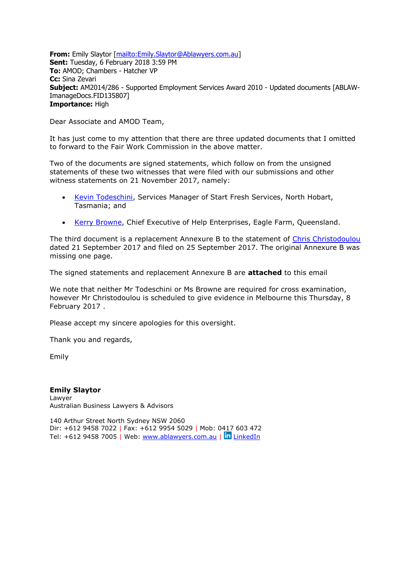**From:** Emily Slaytor [\[mailto:Emily.Slaytor@Ablawyers.com.au\]](mailto:Emily.Slaytor@Ablawyers.com.au) **Sent:** Tuesday, 6 February 2018 3:59 PM **To:** AMOD; Chambers - Hatcher VP **Cc:** Sina Zevari **Subject:** AM2014/286 - Supported Employment Services Award 2010 - Updated documents [ABLAW-ImanageDocs.FID135807] **Importance:** High

Dear Associate and AMOD Team,

It has just come to my attention that there are three updated documents that I omitted to forward to the Fair Work Commission in the above matter.

Two of the documents are signed statements, which follow on from the unsigned statements of these two witnesses that were filed with our submissions and other witness statements on 21 November 2017, namely:

- [Kevin Todeschini,](https://www.fwc.gov.au/documents/sites/awardsmodernfouryr/am2014286-ws-todeschini-211117.pdf) Services Manager of Start Fresh Services, North Hobart, Tasmania; and
- [Kerry Browne,](https://www.fwc.gov.au/documents/sites/awardsmodernfouryr/am2014286-ws-browne-211117.pdf) Chief Executive of Help Enterprises, Eagle Farm, Queensland.

The third document is a replacement Annexure B to the statement of [Chris Christodoulou](https://www.fwc.gov.au/documents/sites/awardsmodernfouryr/am2014286-abi-ws-cchristodoulou-250917.pdf) dated 21 September 2017 and filed on 25 September 2017. The original Annexure B was missing one page.

The signed statements and replacement Annexure B are **attached** to this email

We note that neither Mr Todeschini or Ms Browne are required for cross examination, however Mr Christodoulou is scheduled to give evidence in Melbourne this Thursday, 8 February 2017 .

Please accept my sincere apologies for this oversight.

Thank you and regards,

Emily

**Emily Slaytor** Lawyer Australian Business Lawyers & Advisors

140 Arthur Street North Sydney NSW 2060 Dir: +612 9458 7022 | Fax: +612 9954 5029 | Mob: 0417 603 472 Tel: +612 9458 7005 | Web:<www.ablawyers.com.au> | in [LinkedIn](https://www.linkedin.com/company/australian-business-lawyers?trk=top_nav_home)